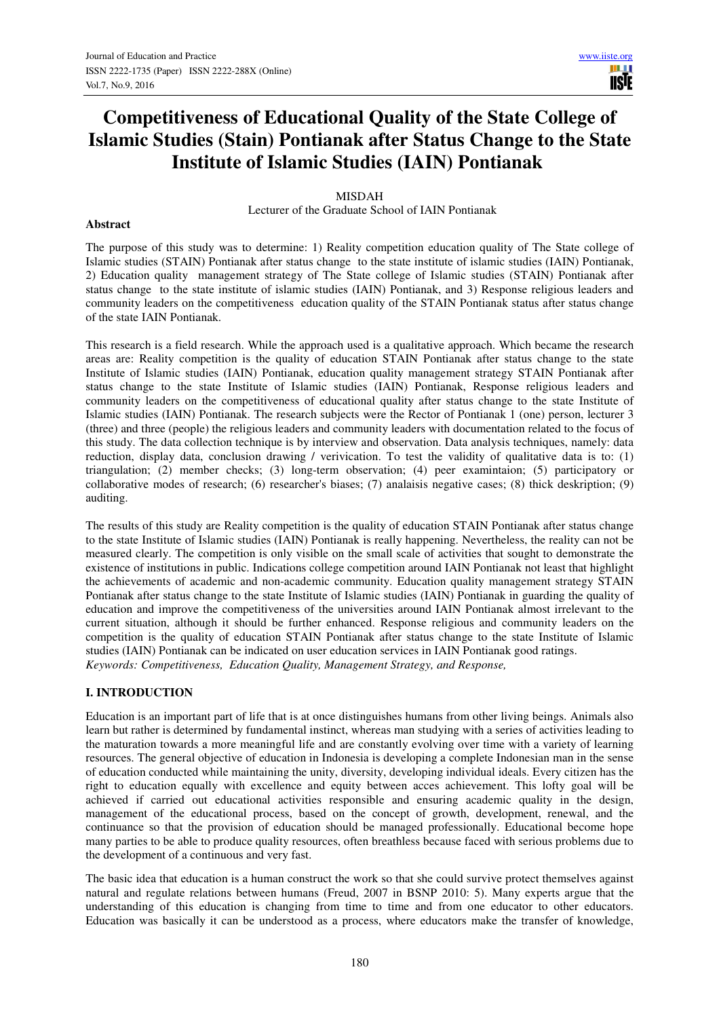m

# **Competitiveness of Educational Quality of the State College of Islamic Studies (Stain) Pontianak after Status Change to the State Institute of Islamic Studies (IAIN) Pontianak**

#### MISDAH

Lecturer of the Graduate School of IAIN Pontianak

#### **Abstract**

The purpose of this study was to determine: 1) Reality competition education quality of The State college of Islamic studies (STAIN) Pontianak after status change to the state institute of islamic studies (IAIN) Pontianak, 2) Education quality management strategy of The State college of Islamic studies (STAIN) Pontianak after status change to the state institute of islamic studies (IAIN) Pontianak, and 3) Response religious leaders and community leaders on the competitiveness education quality of the STAIN Pontianak status after status change of the state IAIN Pontianak.

This research is a field research. While the approach used is a qualitative approach. Which became the research areas are: Reality competition is the quality of education STAIN Pontianak after status change to the state Institute of Islamic studies (IAIN) Pontianak, education quality management strategy STAIN Pontianak after status change to the state Institute of Islamic studies (IAIN) Pontianak, Response religious leaders and community leaders on the competitiveness of educational quality after status change to the state Institute of Islamic studies (IAIN) Pontianak. The research subjects were the Rector of Pontianak 1 (one) person, lecturer 3 (three) and three (people) the religious leaders and community leaders with documentation related to the focus of this study. The data collection technique is by interview and observation. Data analysis techniques, namely: data reduction, display data, conclusion drawing / verivication. To test the validity of qualitative data is to: (1) triangulation; (2) member checks; (3) long-term observation; (4) peer examintaion; (5) participatory or collaborative modes of research; (6) researcher's biases; (7) analaisis negative cases; (8) thick deskription; (9) auditing.

The results of this study are Reality competition is the quality of education STAIN Pontianak after status change to the state Institute of Islamic studies (IAIN) Pontianak is really happening. Nevertheless, the reality can not be measured clearly. The competition is only visible on the small scale of activities that sought to demonstrate the existence of institutions in public. Indications college competition around IAIN Pontianak not least that highlight the achievements of academic and non-academic community. Education quality management strategy STAIN Pontianak after status change to the state Institute of Islamic studies (IAIN) Pontianak in guarding the quality of education and improve the competitiveness of the universities around IAIN Pontianak almost irrelevant to the current situation, although it should be further enhanced. Response religious and community leaders on the competition is the quality of education STAIN Pontianak after status change to the state Institute of Islamic studies (IAIN) Pontianak can be indicated on user education services in IAIN Pontianak good ratings. *Keywords: Competitiveness, Education Quality, Management Strategy, and Response,* 

# **I. INTRODUCTION**

Education is an important part of life that is at once distinguishes humans from other living beings. Animals also learn but rather is determined by fundamental instinct, whereas man studying with a series of activities leading to the maturation towards a more meaningful life and are constantly evolving over time with a variety of learning resources. The general objective of education in Indonesia is developing a complete Indonesian man in the sense of education conducted while maintaining the unity, diversity, developing individual ideals. Every citizen has the right to education equally with excellence and equity between acces achievement. This lofty goal will be achieved if carried out educational activities responsible and ensuring academic quality in the design, management of the educational process, based on the concept of growth, development, renewal, and the continuance so that the provision of education should be managed professionally. Educational become hope many parties to be able to produce quality resources, often breathless because faced with serious problems due to the development of a continuous and very fast.

The basic idea that education is a human construct the work so that she could survive protect themselves against natural and regulate relations between humans (Freud, 2007 in BSNP 2010: 5). Many experts argue that the understanding of this education is changing from time to time and from one educator to other educators. Education was basically it can be understood as a process, where educators make the transfer of knowledge,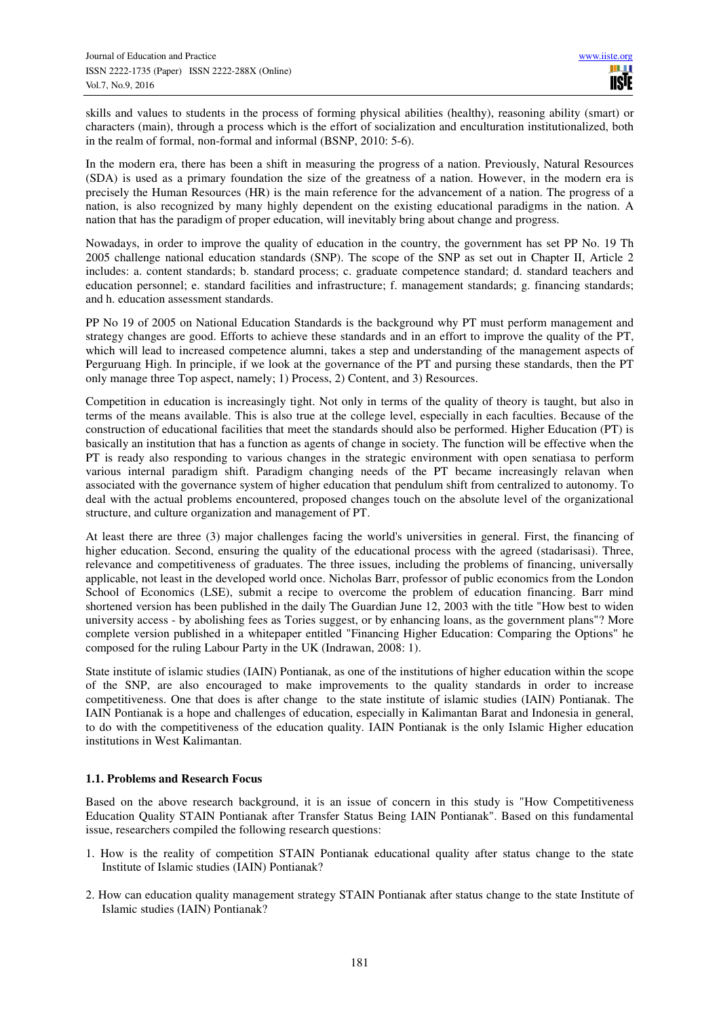skills and values to students in the process of forming physical abilities (healthy), reasoning ability (smart) or characters (main), through a process which is the effort of socialization and enculturation institutionalized, both in the realm of formal, non-formal and informal (BSNP, 2010: 5-6).

In the modern era, there has been a shift in measuring the progress of a nation. Previously, Natural Resources (SDA) is used as a primary foundation the size of the greatness of a nation. However, in the modern era is precisely the Human Resources (HR) is the main reference for the advancement of a nation. The progress of a nation, is also recognized by many highly dependent on the existing educational paradigms in the nation. A nation that has the paradigm of proper education, will inevitably bring about change and progress.

Nowadays, in order to improve the quality of education in the country, the government has set PP No. 19 Th 2005 challenge national education standards (SNP). The scope of the SNP as set out in Chapter II, Article 2 includes: a. content standards; b. standard process; c. graduate competence standard; d. standard teachers and education personnel; e. standard facilities and infrastructure; f. management standards; g. financing standards; and h. education assessment standards.

PP No 19 of 2005 on National Education Standards is the background why PT must perform management and strategy changes are good. Efforts to achieve these standards and in an effort to improve the quality of the PT, which will lead to increased competence alumni, takes a step and understanding of the management aspects of Perguruang High. In principle, if we look at the governance of the PT and pursing these standards, then the PT only manage three Top aspect, namely; 1) Process, 2) Content, and 3) Resources.

Competition in education is increasingly tight. Not only in terms of the quality of theory is taught, but also in terms of the means available. This is also true at the college level, especially in each faculties. Because of the construction of educational facilities that meet the standards should also be performed. Higher Education (PT) is basically an institution that has a function as agents of change in society. The function will be effective when the PT is ready also responding to various changes in the strategic environment with open senatiasa to perform various internal paradigm shift. Paradigm changing needs of the PT became increasingly relavan when associated with the governance system of higher education that pendulum shift from centralized to autonomy. To deal with the actual problems encountered, proposed changes touch on the absolute level of the organizational structure, and culture organization and management of PT.

At least there are three (3) major challenges facing the world's universities in general. First, the financing of higher education. Second, ensuring the quality of the educational process with the agreed (stadarisasi). Three, relevance and competitiveness of graduates. The three issues, including the problems of financing, universally applicable, not least in the developed world once. Nicholas Barr, professor of public economics from the London School of Economics (LSE), submit a recipe to overcome the problem of education financing. Barr mind shortened version has been published in the daily The Guardian June 12, 2003 with the title "How best to widen university access - by abolishing fees as Tories suggest, or by enhancing loans, as the government plans"? More complete version published in a whitepaper entitled "Financing Higher Education: Comparing the Options" he composed for the ruling Labour Party in the UK (Indrawan, 2008: 1).

State institute of islamic studies (IAIN) Pontianak, as one of the institutions of higher education within the scope of the SNP, are also encouraged to make improvements to the quality standards in order to increase competitiveness. One that does is after change to the state institute of islamic studies (IAIN) Pontianak. The IAIN Pontianak is a hope and challenges of education, especially in Kalimantan Barat and Indonesia in general, to do with the competitiveness of the education quality. IAIN Pontianak is the only Islamic Higher education institutions in West Kalimantan.

# **1.1. Problems and Research Focus**

Based on the above research background, it is an issue of concern in this study is "How Competitiveness Education Quality STAIN Pontianak after Transfer Status Being IAIN Pontianak". Based on this fundamental issue, researchers compiled the following research questions:

- 1. How is the reality of competition STAIN Pontianak educational quality after status change to the state Institute of Islamic studies (IAIN) Pontianak?
- 2. How can education quality management strategy STAIN Pontianak after status change to the state Institute of Islamic studies (IAIN) Pontianak?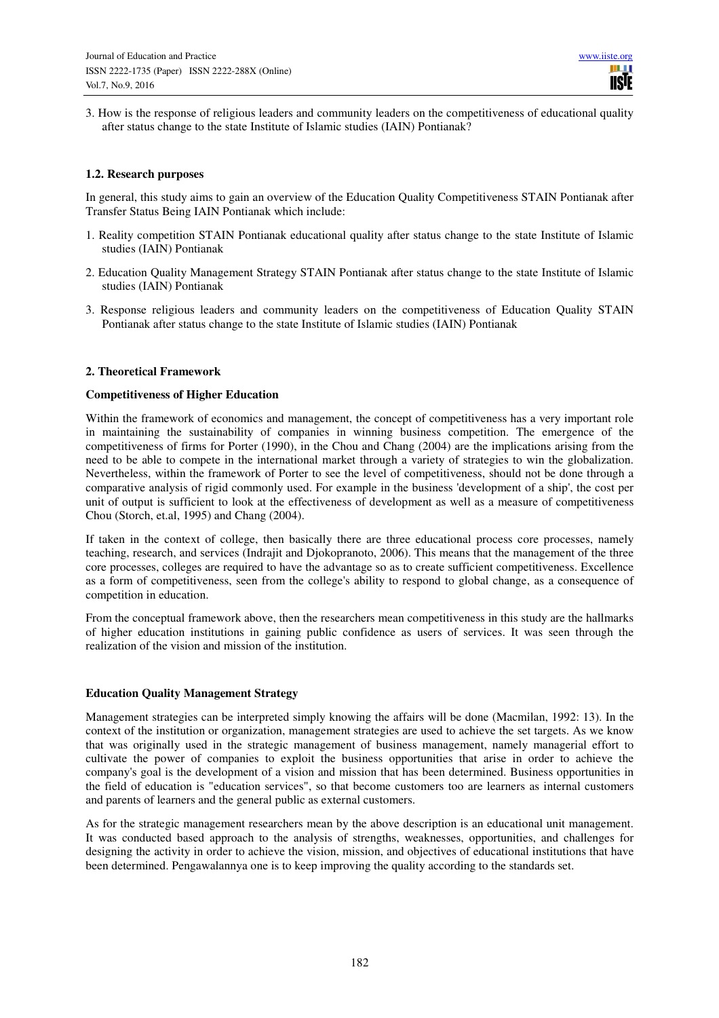3. How is the response of religious leaders and community leaders on the competitiveness of educational quality after status change to the state Institute of Islamic studies (IAIN) Pontianak?

# **1.2. Research purposes**

In general, this study aims to gain an overview of the Education Quality Competitiveness STAIN Pontianak after Transfer Status Being IAIN Pontianak which include:

- 1. Reality competition STAIN Pontianak educational quality after status change to the state Institute of Islamic studies (IAIN) Pontianak
- 2. Education Quality Management Strategy STAIN Pontianak after status change to the state Institute of Islamic studies (IAIN) Pontianak
- 3. Response religious leaders and community leaders on the competitiveness of Education Quality STAIN Pontianak after status change to the state Institute of Islamic studies (IAIN) Pontianak

#### **2. Theoretical Framework**

#### **Competitiveness of Higher Education**

Within the framework of economics and management, the concept of competitiveness has a very important role in maintaining the sustainability of companies in winning business competition. The emergence of the competitiveness of firms for Porter (1990), in the Chou and Chang (2004) are the implications arising from the need to be able to compete in the international market through a variety of strategies to win the globalization. Nevertheless, within the framework of Porter to see the level of competitiveness, should not be done through a comparative analysis of rigid commonly used. For example in the business 'development of a ship', the cost per unit of output is sufficient to look at the effectiveness of development as well as a measure of competitiveness Chou (Storch, et.al, 1995) and Chang (2004).

If taken in the context of college, then basically there are three educational process core processes, namely teaching, research, and services (Indrajit and Djokopranoto, 2006). This means that the management of the three core processes, colleges are required to have the advantage so as to create sufficient competitiveness. Excellence as a form of competitiveness, seen from the college's ability to respond to global change, as a consequence of competition in education.

From the conceptual framework above, then the researchers mean competitiveness in this study are the hallmarks of higher education institutions in gaining public confidence as users of services. It was seen through the realization of the vision and mission of the institution.

# **Education Quality Management Strategy**

Management strategies can be interpreted simply knowing the affairs will be done (Macmilan, 1992: 13). In the context of the institution or organization, management strategies are used to achieve the set targets. As we know that was originally used in the strategic management of business management, namely managerial effort to cultivate the power of companies to exploit the business opportunities that arise in order to achieve the company's goal is the development of a vision and mission that has been determined. Business opportunities in the field of education is "education services", so that become customers too are learners as internal customers and parents of learners and the general public as external customers.

As for the strategic management researchers mean by the above description is an educational unit management. It was conducted based approach to the analysis of strengths, weaknesses, opportunities, and challenges for designing the activity in order to achieve the vision, mission, and objectives of educational institutions that have been determined. Pengawalannya one is to keep improving the quality according to the standards set.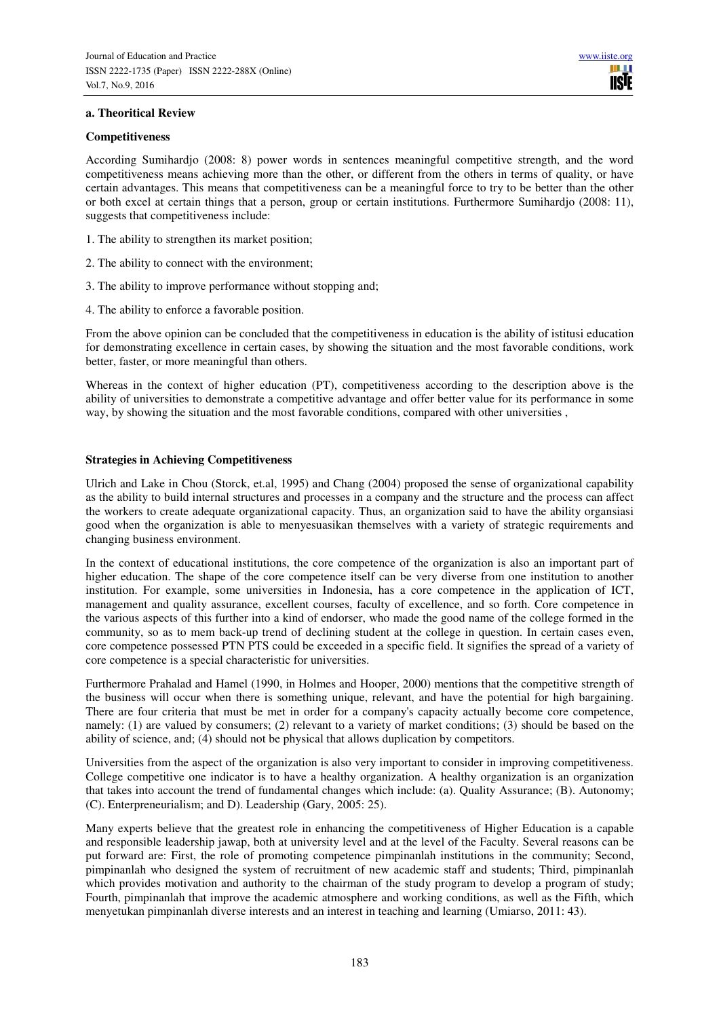#### **a. Theoritical Review**

#### **Competitiveness**

According Sumihardjo (2008: 8) power words in sentences meaningful competitive strength, and the word competitiveness means achieving more than the other, or different from the others in terms of quality, or have certain advantages. This means that competitiveness can be a meaningful force to try to be better than the other or both excel at certain things that a person, group or certain institutions. Furthermore Sumihardjo (2008: 11), suggests that competitiveness include:

- 1. The ability to strengthen its market position;
- 2. The ability to connect with the environment;
- 3. The ability to improve performance without stopping and;
- 4. The ability to enforce a favorable position.

From the above opinion can be concluded that the competitiveness in education is the ability of istitusi education for demonstrating excellence in certain cases, by showing the situation and the most favorable conditions, work better, faster, or more meaningful than others.

Whereas in the context of higher education (PT), competitiveness according to the description above is the ability of universities to demonstrate a competitive advantage and offer better value for its performance in some way, by showing the situation and the most favorable conditions, compared with other universities ,

# **Strategies in Achieving Competitiveness**

Ulrich and Lake in Chou (Storck, et.al, 1995) and Chang (2004) proposed the sense of organizational capability as the ability to build internal structures and processes in a company and the structure and the process can affect the workers to create adequate organizational capacity. Thus, an organization said to have the ability organsiasi good when the organization is able to menyesuasikan themselves with a variety of strategic requirements and changing business environment.

In the context of educational institutions, the core competence of the organization is also an important part of higher education. The shape of the core competence itself can be very diverse from one institution to another institution. For example, some universities in Indonesia, has a core competence in the application of ICT, management and quality assurance, excellent courses, faculty of excellence, and so forth. Core competence in the various aspects of this further into a kind of endorser, who made the good name of the college formed in the community, so as to mem back-up trend of declining student at the college in question. In certain cases even, core competence possessed PTN PTS could be exceeded in a specific field. It signifies the spread of a variety of core competence is a special characteristic for universities.

Furthermore Prahalad and Hamel (1990, in Holmes and Hooper, 2000) mentions that the competitive strength of the business will occur when there is something unique, relevant, and have the potential for high bargaining. There are four criteria that must be met in order for a company's capacity actually become core competence, namely: (1) are valued by consumers; (2) relevant to a variety of market conditions; (3) should be based on the ability of science, and; (4) should not be physical that allows duplication by competitors.

Universities from the aspect of the organization is also very important to consider in improving competitiveness. College competitive one indicator is to have a healthy organization. A healthy organization is an organization that takes into account the trend of fundamental changes which include: (a). Quality Assurance; (B). Autonomy; (C). Enterpreneurialism; and D). Leadership (Gary, 2005: 25).

Many experts believe that the greatest role in enhancing the competitiveness of Higher Education is a capable and responsible leadership jawap, both at university level and at the level of the Faculty. Several reasons can be put forward are: First, the role of promoting competence pimpinanlah institutions in the community; Second, pimpinanlah who designed the system of recruitment of new academic staff and students; Third, pimpinanlah which provides motivation and authority to the chairman of the study program to develop a program of study; Fourth, pimpinanlah that improve the academic atmosphere and working conditions, as well as the Fifth, which menyetukan pimpinanlah diverse interests and an interest in teaching and learning (Umiarso, 2011: 43).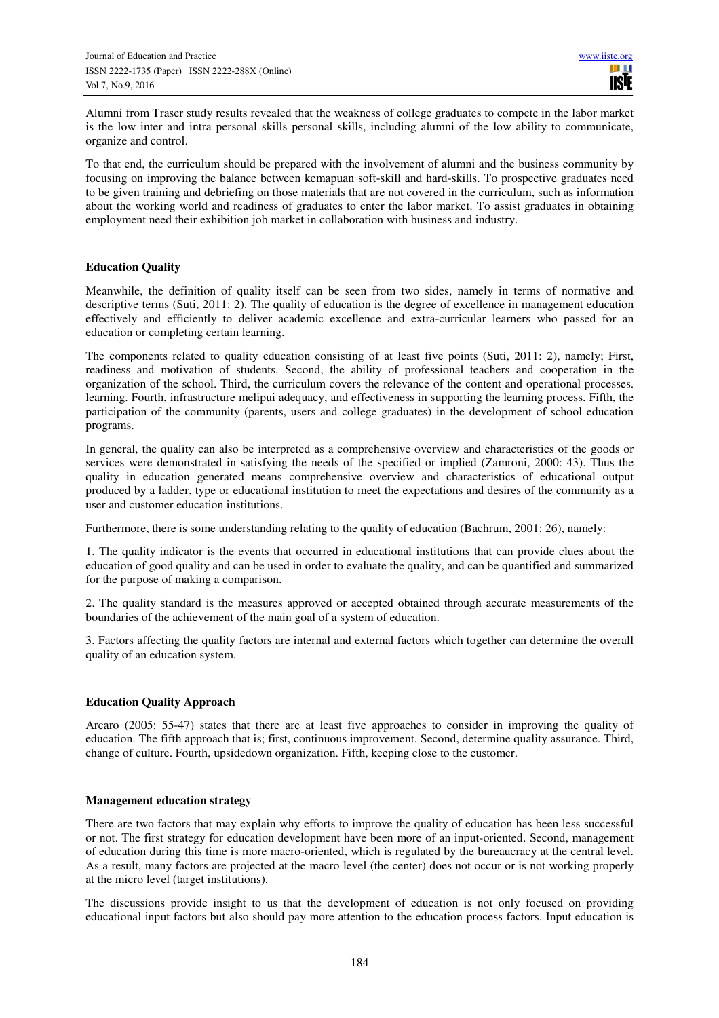Alumni from Traser study results revealed that the weakness of college graduates to compete in the labor market is the low inter and intra personal skills personal skills, including alumni of the low ability to communicate, organize and control.

To that end, the curriculum should be prepared with the involvement of alumni and the business community by focusing on improving the balance between kemapuan soft-skill and hard-skills. To prospective graduates need to be given training and debriefing on those materials that are not covered in the curriculum, such as information about the working world and readiness of graduates to enter the labor market. To assist graduates in obtaining employment need their exhibition job market in collaboration with business and industry.

# **Education Quality**

Meanwhile, the definition of quality itself can be seen from two sides, namely in terms of normative and descriptive terms (Suti, 2011: 2). The quality of education is the degree of excellence in management education effectively and efficiently to deliver academic excellence and extra-curricular learners who passed for an education or completing certain learning.

The components related to quality education consisting of at least five points (Suti, 2011: 2), namely; First, readiness and motivation of students. Second, the ability of professional teachers and cooperation in the organization of the school. Third, the curriculum covers the relevance of the content and operational processes. learning. Fourth, infrastructure melipui adequacy, and effectiveness in supporting the learning process. Fifth, the participation of the community (parents, users and college graduates) in the development of school education programs.

In general, the quality can also be interpreted as a comprehensive overview and characteristics of the goods or services were demonstrated in satisfying the needs of the specified or implied (Zamroni, 2000: 43). Thus the quality in education generated means comprehensive overview and characteristics of educational output produced by a ladder, type or educational institution to meet the expectations and desires of the community as a user and customer education institutions.

Furthermore, there is some understanding relating to the quality of education (Bachrum, 2001: 26), namely:

1. The quality indicator is the events that occurred in educational institutions that can provide clues about the education of good quality and can be used in order to evaluate the quality, and can be quantified and summarized for the purpose of making a comparison.

2. The quality standard is the measures approved or accepted obtained through accurate measurements of the boundaries of the achievement of the main goal of a system of education.

3. Factors affecting the quality factors are internal and external factors which together can determine the overall quality of an education system.

# **Education Quality Approach**

Arcaro (2005: 55-47) states that there are at least five approaches to consider in improving the quality of education. The fifth approach that is; first, continuous improvement. Second, determine quality assurance. Third, change of culture. Fourth, upsidedown organization. Fifth, keeping close to the customer.

# **Management education strategy**

There are two factors that may explain why efforts to improve the quality of education has been less successful or not. The first strategy for education development have been more of an input-oriented. Second, management of education during this time is more macro-oriented, which is regulated by the bureaucracy at the central level. As a result, many factors are projected at the macro level (the center) does not occur or is not working properly at the micro level (target institutions).

The discussions provide insight to us that the development of education is not only focused on providing educational input factors but also should pay more attention to the education process factors. Input education is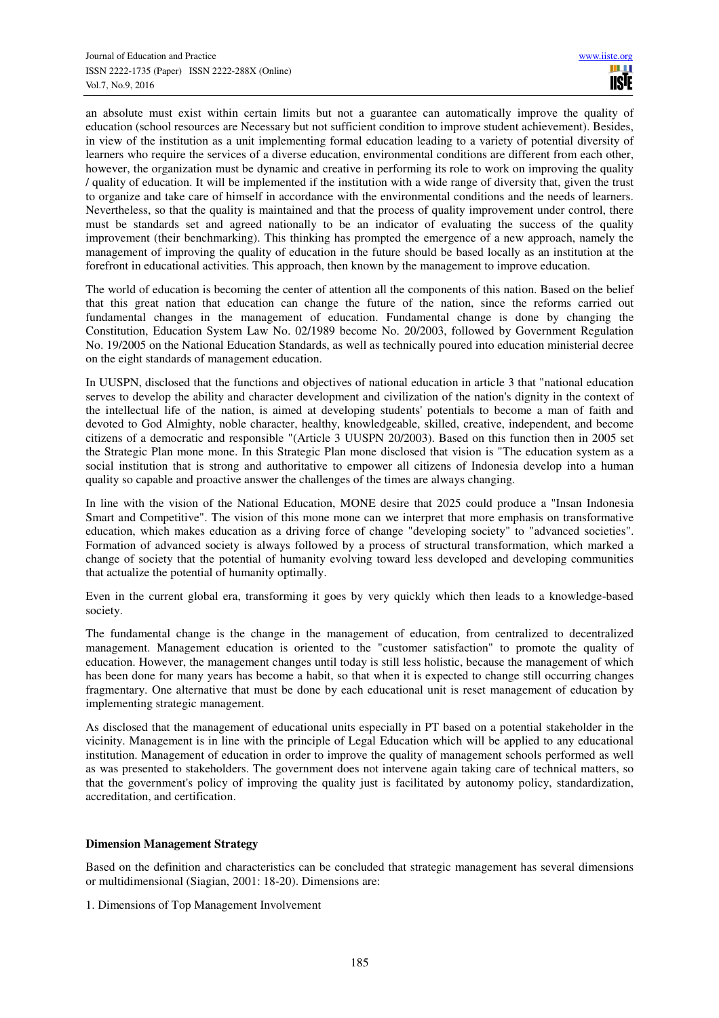an absolute must exist within certain limits but not a guarantee can automatically improve the quality of education (school resources are Necessary but not sufficient condition to improve student achievement). Besides, in view of the institution as a unit implementing formal education leading to a variety of potential diversity of learners who require the services of a diverse education, environmental conditions are different from each other, however, the organization must be dynamic and creative in performing its role to work on improving the quality / quality of education. It will be implemented if the institution with a wide range of diversity that, given the trust to organize and take care of himself in accordance with the environmental conditions and the needs of learners. Nevertheless, so that the quality is maintained and that the process of quality improvement under control, there must be standards set and agreed nationally to be an indicator of evaluating the success of the quality improvement (their benchmarking). This thinking has prompted the emergence of a new approach, namely the management of improving the quality of education in the future should be based locally as an institution at the forefront in educational activities. This approach, then known by the management to improve education.

The world of education is becoming the center of attention all the components of this nation. Based on the belief that this great nation that education can change the future of the nation, since the reforms carried out fundamental changes in the management of education. Fundamental change is done by changing the Constitution, Education System Law No. 02/1989 become No. 20/2003, followed by Government Regulation No. 19/2005 on the National Education Standards, as well as technically poured into education ministerial decree on the eight standards of management education.

In UUSPN, disclosed that the functions and objectives of national education in article 3 that "national education serves to develop the ability and character development and civilization of the nation's dignity in the context of the intellectual life of the nation, is aimed at developing students' potentials to become a man of faith and devoted to God Almighty, noble character, healthy, knowledgeable, skilled, creative, independent, and become citizens of a democratic and responsible "(Article 3 UUSPN 20/2003). Based on this function then in 2005 set the Strategic Plan mone mone. In this Strategic Plan mone disclosed that vision is "The education system as a social institution that is strong and authoritative to empower all citizens of Indonesia develop into a human quality so capable and proactive answer the challenges of the times are always changing.

In line with the vision of the National Education, MONE desire that 2025 could produce a "Insan Indonesia Smart and Competitive". The vision of this mone mone can we interpret that more emphasis on transformative education, which makes education as a driving force of change "developing society" to "advanced societies". Formation of advanced society is always followed by a process of structural transformation, which marked a change of society that the potential of humanity evolving toward less developed and developing communities that actualize the potential of humanity optimally.

Even in the current global era, transforming it goes by very quickly which then leads to a knowledge-based society.

The fundamental change is the change in the management of education, from centralized to decentralized management. Management education is oriented to the "customer satisfaction" to promote the quality of education. However, the management changes until today is still less holistic, because the management of which has been done for many years has become a habit, so that when it is expected to change still occurring changes fragmentary. One alternative that must be done by each educational unit is reset management of education by implementing strategic management.

As disclosed that the management of educational units especially in PT based on a potential stakeholder in the vicinity. Management is in line with the principle of Legal Education which will be applied to any educational institution. Management of education in order to improve the quality of management schools performed as well as was presented to stakeholders. The government does not intervene again taking care of technical matters, so that the government's policy of improving the quality just is facilitated by autonomy policy, standardization, accreditation, and certification.

# **Dimension Management Strategy**

Based on the definition and characteristics can be concluded that strategic management has several dimensions or multidimensional (Siagian, 2001: 18-20). Dimensions are:

1. Dimensions of Top Management Involvement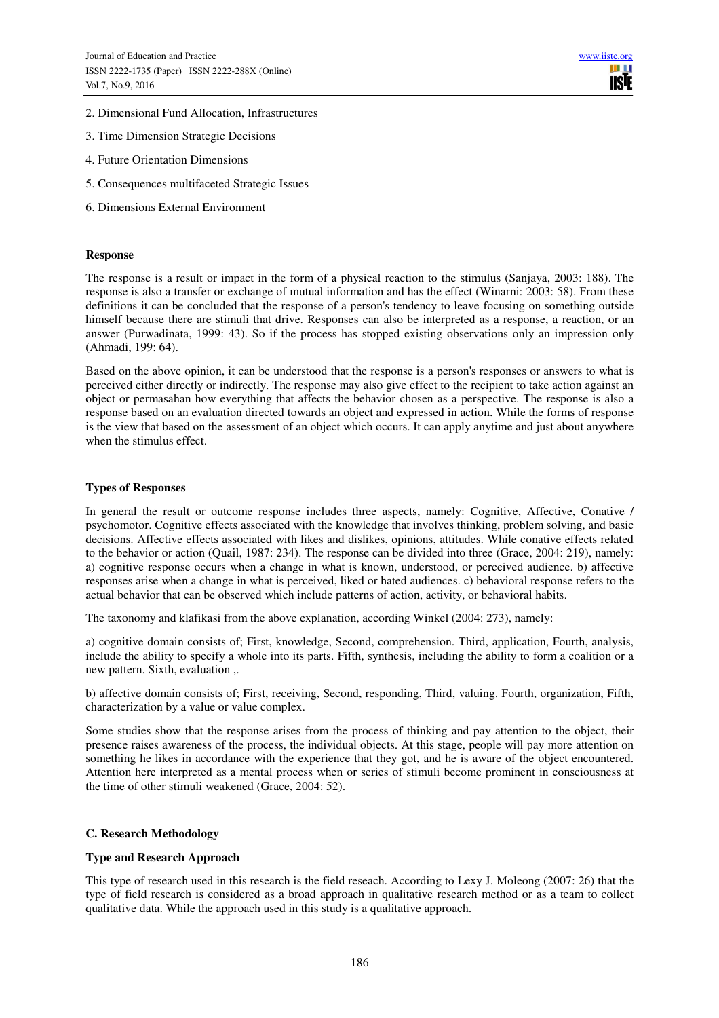- 2. Dimensional Fund Allocation, Infrastructures
- 3. Time Dimension Strategic Decisions
- 4. Future Orientation Dimensions
- 5. Consequences multifaceted Strategic Issues
- 6. Dimensions External Environment

#### **Response**

The response is a result or impact in the form of a physical reaction to the stimulus (Sanjaya, 2003: 188). The response is also a transfer or exchange of mutual information and has the effect (Winarni: 2003: 58). From these definitions it can be concluded that the response of a person's tendency to leave focusing on something outside himself because there are stimuli that drive. Responses can also be interpreted as a response, a reaction, or an answer (Purwadinata, 1999: 43). So if the process has stopped existing observations only an impression only (Ahmadi, 199: 64).

Based on the above opinion, it can be understood that the response is a person's responses or answers to what is perceived either directly or indirectly. The response may also give effect to the recipient to take action against an object or permasahan how everything that affects the behavior chosen as a perspective. The response is also a response based on an evaluation directed towards an object and expressed in action. While the forms of response is the view that based on the assessment of an object which occurs. It can apply anytime and just about anywhere when the stimulus effect.

#### **Types of Responses**

In general the result or outcome response includes three aspects, namely: Cognitive, Affective, Conative / psychomotor. Cognitive effects associated with the knowledge that involves thinking, problem solving, and basic decisions. Affective effects associated with likes and dislikes, opinions, attitudes. While conative effects related to the behavior or action (Quail, 1987: 234). The response can be divided into three (Grace, 2004: 219), namely: a) cognitive response occurs when a change in what is known, understood, or perceived audience. b) affective responses arise when a change in what is perceived, liked or hated audiences. c) behavioral response refers to the actual behavior that can be observed which include patterns of action, activity, or behavioral habits.

The taxonomy and klafikasi from the above explanation, according Winkel (2004: 273), namely:

a) cognitive domain consists of; First, knowledge, Second, comprehension. Third, application, Fourth, analysis, include the ability to specify a whole into its parts. Fifth, synthesis, including the ability to form a coalition or a new pattern. Sixth, evaluation ,.

b) affective domain consists of; First, receiving, Second, responding, Third, valuing. Fourth, organization, Fifth, characterization by a value or value complex.

Some studies show that the response arises from the process of thinking and pay attention to the object, their presence raises awareness of the process, the individual objects. At this stage, people will pay more attention on something he likes in accordance with the experience that they got, and he is aware of the object encountered. Attention here interpreted as a mental process when or series of stimuli become prominent in consciousness at the time of other stimuli weakened (Grace, 2004: 52).

# **C. Research Methodology**

# **Type and Research Approach**

This type of research used in this research is the field reseach. According to Lexy J. Moleong (2007: 26) that the type of field research is considered as a broad approach in qualitative research method or as a team to collect qualitative data. While the approach used in this study is a qualitative approach.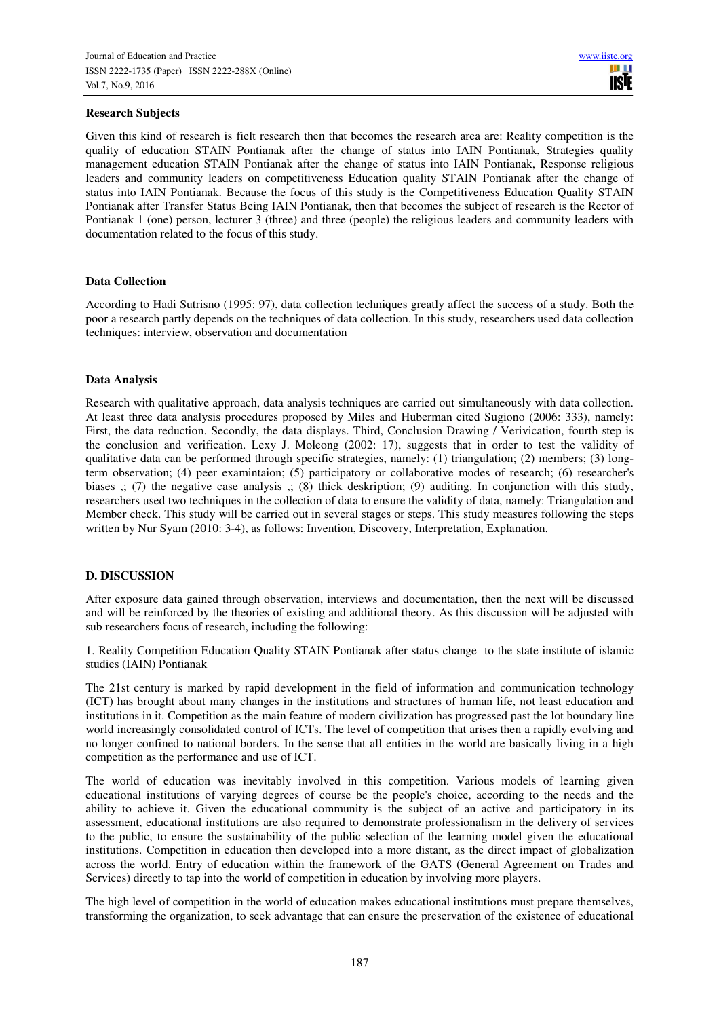#### **Research Subjects**

Given this kind of research is fielt research then that becomes the research area are: Reality competition is the quality of education STAIN Pontianak after the change of status into IAIN Pontianak, Strategies quality management education STAIN Pontianak after the change of status into IAIN Pontianak, Response religious leaders and community leaders on competitiveness Education quality STAIN Pontianak after the change of status into IAIN Pontianak. Because the focus of this study is the Competitiveness Education Quality STAIN Pontianak after Transfer Status Being IAIN Pontianak, then that becomes the subject of research is the Rector of Pontianak 1 (one) person, lecturer 3 (three) and three (people) the religious leaders and community leaders with documentation related to the focus of this study.

#### **Data Collection**

According to Hadi Sutrisno (1995: 97), data collection techniques greatly affect the success of a study. Both the poor a research partly depends on the techniques of data collection. In this study, researchers used data collection techniques: interview, observation and documentation

#### **Data Analysis**

Research with qualitative approach, data analysis techniques are carried out simultaneously with data collection. At least three data analysis procedures proposed by Miles and Huberman cited Sugiono (2006: 333), namely: First, the data reduction. Secondly, the data displays. Third, Conclusion Drawing / Verivication, fourth step is the conclusion and verification. Lexy J. Moleong (2002: 17), suggests that in order to test the validity of qualitative data can be performed through specific strategies, namely: (1) triangulation; (2) members; (3) longterm observation; (4) peer examintaion; (5) participatory or collaborative modes of research; (6) researcher's biases ,; (7) the negative case analysis ,; (8) thick deskription; (9) auditing. In conjunction with this study, researchers used two techniques in the collection of data to ensure the validity of data, namely: Triangulation and Member check. This study will be carried out in several stages or steps. This study measures following the steps written by Nur Syam (2010: 3-4), as follows: Invention, Discovery, Interpretation, Explanation.

# **D. DISCUSSION**

After exposure data gained through observation, interviews and documentation, then the next will be discussed and will be reinforced by the theories of existing and additional theory. As this discussion will be adjusted with sub researchers focus of research, including the following:

1. Reality Competition Education Quality STAIN Pontianak after status change to the state institute of islamic studies (IAIN) Pontianak

The 21st century is marked by rapid development in the field of information and communication technology (ICT) has brought about many changes in the institutions and structures of human life, not least education and institutions in it. Competition as the main feature of modern civilization has progressed past the lot boundary line world increasingly consolidated control of ICTs. The level of competition that arises then a rapidly evolving and no longer confined to national borders. In the sense that all entities in the world are basically living in a high competition as the performance and use of ICT.

The world of education was inevitably involved in this competition. Various models of learning given educational institutions of varying degrees of course be the people's choice, according to the needs and the ability to achieve it. Given the educational community is the subject of an active and participatory in its assessment, educational institutions are also required to demonstrate professionalism in the delivery of services to the public, to ensure the sustainability of the public selection of the learning model given the educational institutions. Competition in education then developed into a more distant, as the direct impact of globalization across the world. Entry of education within the framework of the GATS (General Agreement on Trades and Services) directly to tap into the world of competition in education by involving more players.

The high level of competition in the world of education makes educational institutions must prepare themselves, transforming the organization, to seek advantage that can ensure the preservation of the existence of educational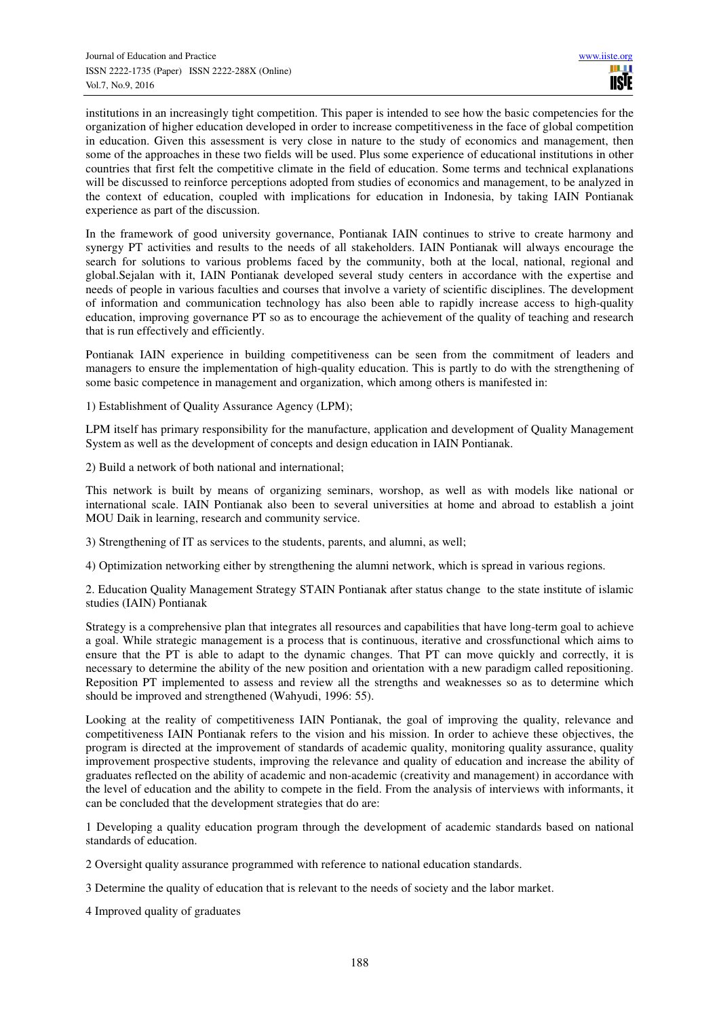institutions in an increasingly tight competition. This paper is intended to see how the basic competencies for the organization of higher education developed in order to increase competitiveness in the face of global competition in education. Given this assessment is very close in nature to the study of economics and management, then some of the approaches in these two fields will be used. Plus some experience of educational institutions in other countries that first felt the competitive climate in the field of education. Some terms and technical explanations will be discussed to reinforce perceptions adopted from studies of economics and management, to be analyzed in the context of education, coupled with implications for education in Indonesia, by taking IAIN Pontianak experience as part of the discussion.

In the framework of good university governance, Pontianak IAIN continues to strive to create harmony and synergy PT activities and results to the needs of all stakeholders. IAIN Pontianak will always encourage the search for solutions to various problems faced by the community, both at the local, national, regional and global.Sejalan with it, IAIN Pontianak developed several study centers in accordance with the expertise and needs of people in various faculties and courses that involve a variety of scientific disciplines. The development of information and communication technology has also been able to rapidly increase access to high-quality education, improving governance PT so as to encourage the achievement of the quality of teaching and research that is run effectively and efficiently.

Pontianak IAIN experience in building competitiveness can be seen from the commitment of leaders and managers to ensure the implementation of high-quality education. This is partly to do with the strengthening of some basic competence in management and organization, which among others is manifested in:

1) Establishment of Quality Assurance Agency (LPM);

LPM itself has primary responsibility for the manufacture, application and development of Quality Management System as well as the development of concepts and design education in IAIN Pontianak.

2) Build a network of both national and international;

This network is built by means of organizing seminars, worshop, as well as with models like national or international scale. IAIN Pontianak also been to several universities at home and abroad to establish a joint MOU Daik in learning, research and community service.

3) Strengthening of IT as services to the students, parents, and alumni, as well;

4) Optimization networking either by strengthening the alumni network, which is spread in various regions.

2. Education Quality Management Strategy STAIN Pontianak after status change to the state institute of islamic studies (IAIN) Pontianak

Strategy is a comprehensive plan that integrates all resources and capabilities that have long-term goal to achieve a goal. While strategic management is a process that is continuous, iterative and crossfunctional which aims to ensure that the PT is able to adapt to the dynamic changes. That PT can move quickly and correctly, it is necessary to determine the ability of the new position and orientation with a new paradigm called repositioning. Reposition PT implemented to assess and review all the strengths and weaknesses so as to determine which should be improved and strengthened (Wahyudi, 1996: 55).

Looking at the reality of competitiveness IAIN Pontianak, the goal of improving the quality, relevance and competitiveness IAIN Pontianak refers to the vision and his mission. In order to achieve these objectives, the program is directed at the improvement of standards of academic quality, monitoring quality assurance, quality improvement prospective students, improving the relevance and quality of education and increase the ability of graduates reflected on the ability of academic and non-academic (creativity and management) in accordance with the level of education and the ability to compete in the field. From the analysis of interviews with informants, it can be concluded that the development strategies that do are:

1 Developing a quality education program through the development of academic standards based on national standards of education.

- 2 Oversight quality assurance programmed with reference to national education standards.
- 3 Determine the quality of education that is relevant to the needs of society and the labor market.
- 4 Improved quality of graduates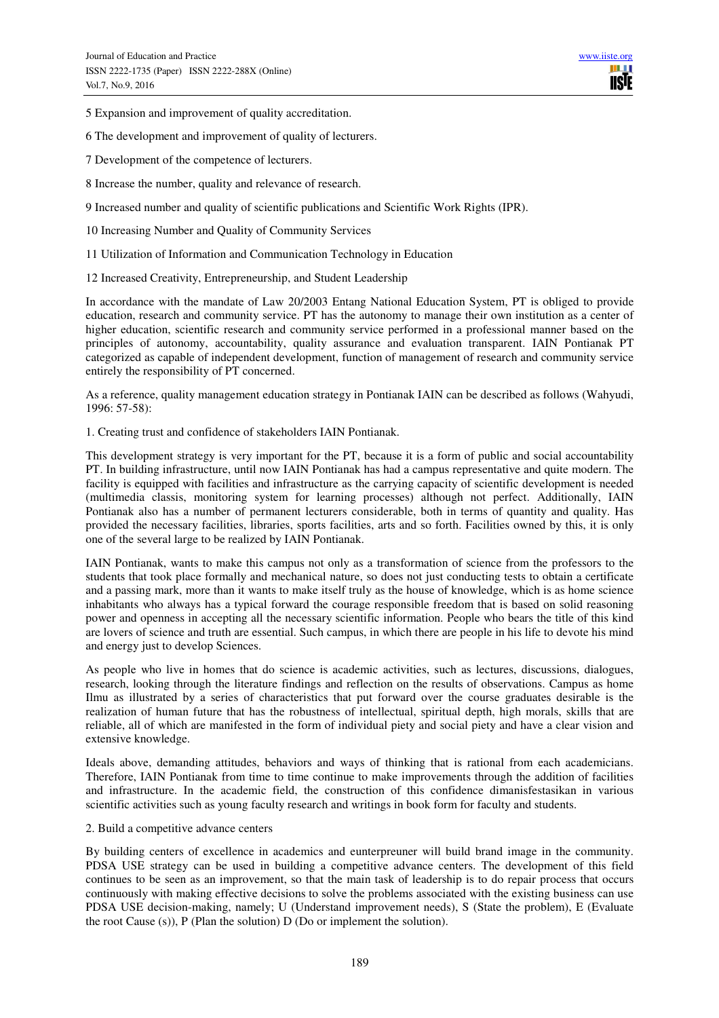5 Expansion and improvement of quality accreditation.

- 6 The development and improvement of quality of lecturers.
- 7 Development of the competence of lecturers.
- 8 Increase the number, quality and relevance of research.
- 9 Increased number and quality of scientific publications and Scientific Work Rights (IPR).
- 10 Increasing Number and Quality of Community Services
- 11 Utilization of Information and Communication Technology in Education
- 12 Increased Creativity, Entrepreneurship, and Student Leadership

In accordance with the mandate of Law 20/2003 Entang National Education System, PT is obliged to provide education, research and community service. PT has the autonomy to manage their own institution as a center of higher education, scientific research and community service performed in a professional manner based on the principles of autonomy, accountability, quality assurance and evaluation transparent. IAIN Pontianak PT categorized as capable of independent development, function of management of research and community service entirely the responsibility of PT concerned.

As a reference, quality management education strategy in Pontianak IAIN can be described as follows (Wahyudi, 1996: 57-58):

1. Creating trust and confidence of stakeholders IAIN Pontianak.

This development strategy is very important for the PT, because it is a form of public and social accountability PT. In building infrastructure, until now IAIN Pontianak has had a campus representative and quite modern. The facility is equipped with facilities and infrastructure as the carrying capacity of scientific development is needed (multimedia classis, monitoring system for learning processes) although not perfect. Additionally, IAIN Pontianak also has a number of permanent lecturers considerable, both in terms of quantity and quality. Has provided the necessary facilities, libraries, sports facilities, arts and so forth. Facilities owned by this, it is only one of the several large to be realized by IAIN Pontianak.

IAIN Pontianak, wants to make this campus not only as a transformation of science from the professors to the students that took place formally and mechanical nature, so does not just conducting tests to obtain a certificate and a passing mark, more than it wants to make itself truly as the house of knowledge, which is as home science inhabitants who always has a typical forward the courage responsible freedom that is based on solid reasoning power and openness in accepting all the necessary scientific information. People who bears the title of this kind are lovers of science and truth are essential. Such campus, in which there are people in his life to devote his mind and energy just to develop Sciences.

As people who live in homes that do science is academic activities, such as lectures, discussions, dialogues, research, looking through the literature findings and reflection on the results of observations. Campus as home Ilmu as illustrated by a series of characteristics that put forward over the course graduates desirable is the realization of human future that has the robustness of intellectual, spiritual depth, high morals, skills that are reliable, all of which are manifested in the form of individual piety and social piety and have a clear vision and extensive knowledge.

Ideals above, demanding attitudes, behaviors and ways of thinking that is rational from each academicians. Therefore, IAIN Pontianak from time to time continue to make improvements through the addition of facilities and infrastructure. In the academic field, the construction of this confidence dimanisfestasikan in various scientific activities such as young faculty research and writings in book form for faculty and students.

#### 2. Build a competitive advance centers

By building centers of excellence in academics and eunterpreuner will build brand image in the community. PDSA USE strategy can be used in building a competitive advance centers. The development of this field continues to be seen as an improvement, so that the main task of leadership is to do repair process that occurs continuously with making effective decisions to solve the problems associated with the existing business can use PDSA USE decision-making, namely; U (Understand improvement needs), S (State the problem), E (Evaluate the root Cause (s)), P (Plan the solution) D (Do or implement the solution).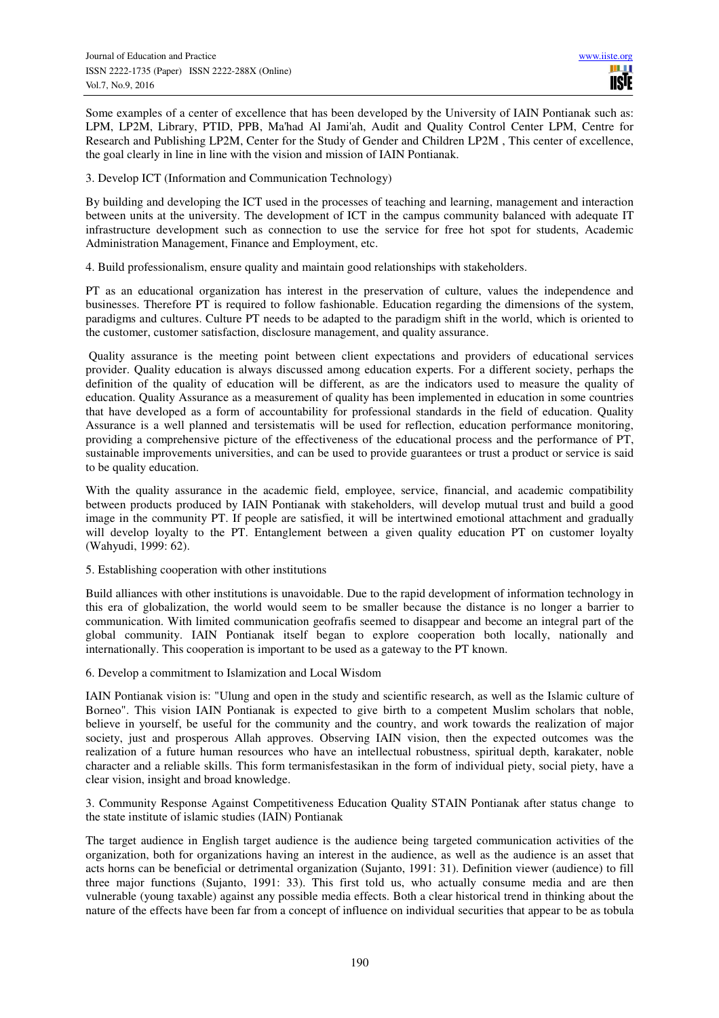Some examples of a center of excellence that has been developed by the University of IAIN Pontianak such as: LPM, LP2M, Library, PTID, PPB, Ma'had Al Jami'ah, Audit and Quality Control Center LPM, Centre for Research and Publishing LP2M, Center for the Study of Gender and Children LP2M , This center of excellence, the goal clearly in line in line with the vision and mission of IAIN Pontianak.

3. Develop ICT (Information and Communication Technology)

By building and developing the ICT used in the processes of teaching and learning, management and interaction between units at the university. The development of ICT in the campus community balanced with adequate IT infrastructure development such as connection to use the service for free hot spot for students, Academic Administration Management, Finance and Employment, etc.

4. Build professionalism, ensure quality and maintain good relationships with stakeholders.

PT as an educational organization has interest in the preservation of culture, values the independence and businesses. Therefore PT is required to follow fashionable. Education regarding the dimensions of the system, paradigms and cultures. Culture PT needs to be adapted to the paradigm shift in the world, which is oriented to the customer, customer satisfaction, disclosure management, and quality assurance.

 Quality assurance is the meeting point between client expectations and providers of educational services provider. Quality education is always discussed among education experts. For a different society, perhaps the definition of the quality of education will be different, as are the indicators used to measure the quality of education. Quality Assurance as a measurement of quality has been implemented in education in some countries that have developed as a form of accountability for professional standards in the field of education. Quality Assurance is a well planned and tersistematis will be used for reflection, education performance monitoring, providing a comprehensive picture of the effectiveness of the educational process and the performance of PT, sustainable improvements universities, and can be used to provide guarantees or trust a product or service is said to be quality education.

With the quality assurance in the academic field, employee, service, financial, and academic compatibility between products produced by IAIN Pontianak with stakeholders, will develop mutual trust and build a good image in the community PT. If people are satisfied, it will be intertwined emotional attachment and gradually will develop loyalty to the PT. Entanglement between a given quality education PT on customer loyalty (Wahyudi, 1999: 62).

5. Establishing cooperation with other institutions

Build alliances with other institutions is unavoidable. Due to the rapid development of information technology in this era of globalization, the world would seem to be smaller because the distance is no longer a barrier to communication. With limited communication geofrafis seemed to disappear and become an integral part of the global community. IAIN Pontianak itself began to explore cooperation both locally, nationally and internationally. This cooperation is important to be used as a gateway to the PT known.

6. Develop a commitment to Islamization and Local Wisdom

IAIN Pontianak vision is: "Ulung and open in the study and scientific research, as well as the Islamic culture of Borneo". This vision IAIN Pontianak is expected to give birth to a competent Muslim scholars that noble, believe in yourself, be useful for the community and the country, and work towards the realization of major society, just and prosperous Allah approves. Observing IAIN vision, then the expected outcomes was the realization of a future human resources who have an intellectual robustness, spiritual depth, karakater, noble character and a reliable skills. This form termanisfestasikan in the form of individual piety, social piety, have a clear vision, insight and broad knowledge.

3. Community Response Against Competitiveness Education Quality STAIN Pontianak after status change to the state institute of islamic studies (IAIN) Pontianak

The target audience in English target audience is the audience being targeted communication activities of the organization, both for organizations having an interest in the audience, as well as the audience is an asset that acts horns can be beneficial or detrimental organization (Sujanto, 1991: 31). Definition viewer (audience) to fill three major functions (Sujanto, 1991: 33). This first told us, who actually consume media and are then vulnerable (young taxable) against any possible media effects. Both a clear historical trend in thinking about the nature of the effects have been far from a concept of influence on individual securities that appear to be as tobula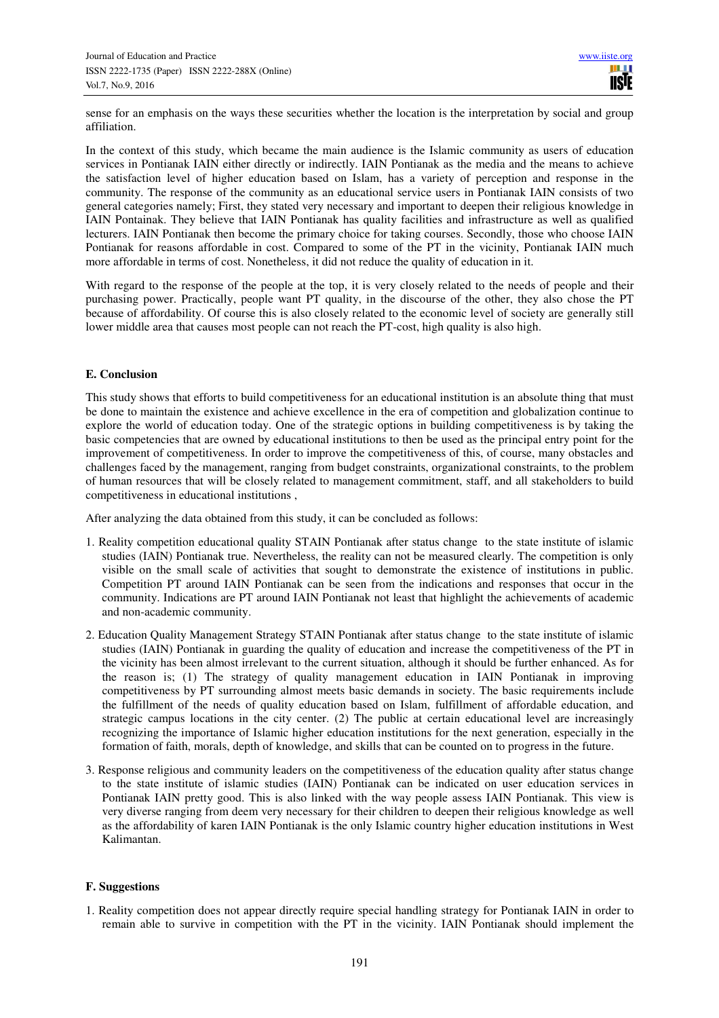sense for an emphasis on the ways these securities whether the location is the interpretation by social and group affiliation.

In the context of this study, which became the main audience is the Islamic community as users of education services in Pontianak IAIN either directly or indirectly. IAIN Pontianak as the media and the means to achieve the satisfaction level of higher education based on Islam, has a variety of perception and response in the community. The response of the community as an educational service users in Pontianak IAIN consists of two general categories namely; First, they stated very necessary and important to deepen their religious knowledge in IAIN Pontainak. They believe that IAIN Pontianak has quality facilities and infrastructure as well as qualified lecturers. IAIN Pontianak then become the primary choice for taking courses. Secondly, those who choose IAIN Pontianak for reasons affordable in cost. Compared to some of the PT in the vicinity, Pontianak IAIN much more affordable in terms of cost. Nonetheless, it did not reduce the quality of education in it.

With regard to the response of the people at the top, it is very closely related to the needs of people and their purchasing power. Practically, people want PT quality, in the discourse of the other, they also chose the PT because of affordability. Of course this is also closely related to the economic level of society are generally still lower middle area that causes most people can not reach the PT-cost, high quality is also high.

#### **E. Conclusion**

This study shows that efforts to build competitiveness for an educational institution is an absolute thing that must be done to maintain the existence and achieve excellence in the era of competition and globalization continue to explore the world of education today. One of the strategic options in building competitiveness is by taking the basic competencies that are owned by educational institutions to then be used as the principal entry point for the improvement of competitiveness. In order to improve the competitiveness of this, of course, many obstacles and challenges faced by the management, ranging from budget constraints, organizational constraints, to the problem of human resources that will be closely related to management commitment, staff, and all stakeholders to build competitiveness in educational institutions ,

After analyzing the data obtained from this study, it can be concluded as follows:

- 1. Reality competition educational quality STAIN Pontianak after status change to the state institute of islamic studies (IAIN) Pontianak true. Nevertheless, the reality can not be measured clearly. The competition is only visible on the small scale of activities that sought to demonstrate the existence of institutions in public. Competition PT around IAIN Pontianak can be seen from the indications and responses that occur in the community. Indications are PT around IAIN Pontianak not least that highlight the achievements of academic and non-academic community.
- 2. Education Quality Management Strategy STAIN Pontianak after status change to the state institute of islamic studies (IAIN) Pontianak in guarding the quality of education and increase the competitiveness of the PT in the vicinity has been almost irrelevant to the current situation, although it should be further enhanced. As for the reason is; (1) The strategy of quality management education in IAIN Pontianak in improving competitiveness by PT surrounding almost meets basic demands in society. The basic requirements include the fulfillment of the needs of quality education based on Islam, fulfillment of affordable education, and strategic campus locations in the city center. (2) The public at certain educational level are increasingly recognizing the importance of Islamic higher education institutions for the next generation, especially in the formation of faith, morals, depth of knowledge, and skills that can be counted on to progress in the future.
- 3. Response religious and community leaders on the competitiveness of the education quality after status change to the state institute of islamic studies (IAIN) Pontianak can be indicated on user education services in Pontianak IAIN pretty good. This is also linked with the way people assess IAIN Pontianak. This view is very diverse ranging from deem very necessary for their children to deepen their religious knowledge as well as the affordability of karen IAIN Pontianak is the only Islamic country higher education institutions in West Kalimantan.

# **F. Suggestions**

1. Reality competition does not appear directly require special handling strategy for Pontianak IAIN in order to remain able to survive in competition with the PT in the vicinity. IAIN Pontianak should implement the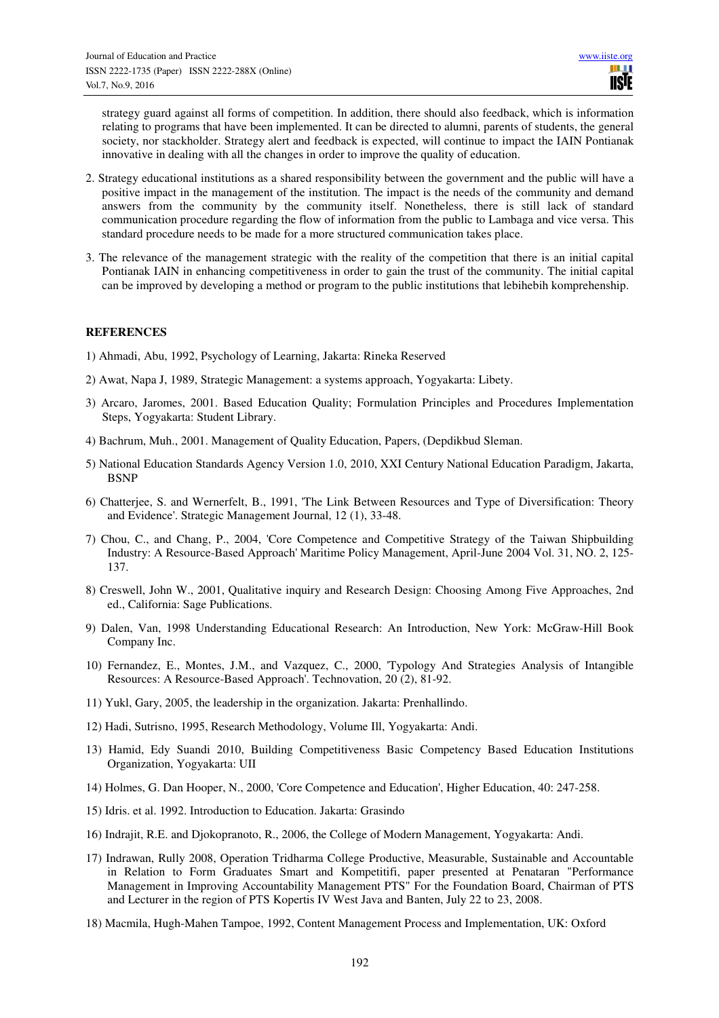strategy guard against all forms of competition. In addition, there should also feedback, which is information relating to programs that have been implemented. It can be directed to alumni, parents of students, the general society, nor stackholder. Strategy alert and feedback is expected, will continue to impact the IAIN Pontianak innovative in dealing with all the changes in order to improve the quality of education.

- 2. Strategy educational institutions as a shared responsibility between the government and the public will have a positive impact in the management of the institution. The impact is the needs of the community and demand answers from the community by the community itself. Nonetheless, there is still lack of standard communication procedure regarding the flow of information from the public to Lambaga and vice versa. This standard procedure needs to be made for a more structured communication takes place.
- 3. The relevance of the management strategic with the reality of the competition that there is an initial capital Pontianak IAIN in enhancing competitiveness in order to gain the trust of the community. The initial capital can be improved by developing a method or program to the public institutions that lebihebih komprehenship.

# **REFERENCES**

- 1) Ahmadi, Abu, 1992, Psychology of Learning, Jakarta: Rineka Reserved
- 2) Awat, Napa J, 1989, Strategic Management: a systems approach, Yogyakarta: Libety.
- 3) Arcaro, Jaromes, 2001. Based Education Quality; Formulation Principles and Procedures Implementation Steps, Yogyakarta: Student Library.
- 4) Bachrum, Muh., 2001. Management of Quality Education, Papers, (Depdikbud Sleman.
- 5) National Education Standards Agency Version 1.0, 2010, XXI Century National Education Paradigm, Jakarta, BSNP
- 6) Chatterjee, S. and Wernerfelt, B., 1991, 'The Link Between Resources and Type of Diversification: Theory and Evidence'. Strategic Management Journal, 12 (1), 33-48.
- 7) Chou, C., and Chang, P., 2004, 'Core Competence and Competitive Strategy of the Taiwan Shipbuilding Industry: A Resource-Based Approach' Maritime Policy Management, April-June 2004 Vol. 31, NO. 2, 125- 137.
- 8) Creswell, John W., 2001, Qualitative inquiry and Research Design: Choosing Among Five Approaches, 2nd ed., California: Sage Publications.
- 9) Dalen, Van, 1998 Understanding Educational Research: An Introduction, New York: McGraw-Hill Book Company Inc.
- 10) Fernandez, E., Montes, J.M., and Vazquez, C., 2000, 'Typology And Strategies Analysis of Intangible Resources: A Resource-Based Approach'. Technovation, 20 (2), 81-92.
- 11) Yukl, Gary, 2005, the leadership in the organization. Jakarta: Prenhallindo.
- 12) Hadi, Sutrisno, 1995, Research Methodology, Volume Ill, Yogyakarta: Andi.
- 13) Hamid, Edy Suandi 2010, Building Competitiveness Basic Competency Based Education Institutions Organization, Yogyakarta: UII
- 14) Holmes, G. Dan Hooper, N., 2000, 'Core Competence and Education', Higher Education, 40: 247-258.
- 15) Idris. et al. 1992. Introduction to Education. Jakarta: Grasindo
- 16) Indrajit, R.E. and Djokopranoto, R., 2006, the College of Modern Management, Yogyakarta: Andi.
- 17) Indrawan, Rully 2008, Operation Tridharma College Productive, Measurable, Sustainable and Accountable in Relation to Form Graduates Smart and Kompetitifi, paper presented at Penataran "Performance Management in Improving Accountability Management PTS" For the Foundation Board, Chairman of PTS and Lecturer in the region of PTS Kopertis IV West Java and Banten, July 22 to 23, 2008.
- 18) Macmila, Hugh-Mahen Tampoe, 1992, Content Management Process and Implementation, UK: Oxford